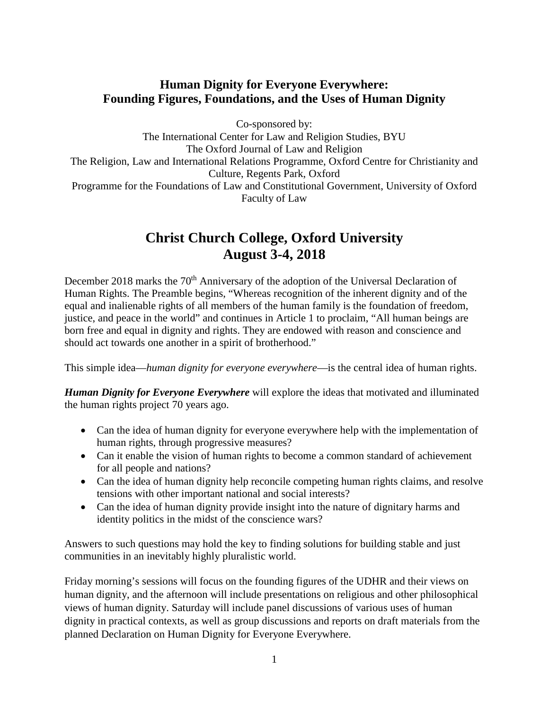# **Human Dignity for Everyone Everywhere: Founding Figures, Foundations, and the Uses of Human Dignity**

Co-sponsored by:

The International Center for Law and Religion Studies, BYU The Oxford Journal of Law and Religion The Religion, Law and International Relations Programme, Oxford Centre for Christianity and Culture, Regents Park, Oxford Programme for the Foundations of Law and Constitutional Government, University of Oxford Faculty of Law

# **Christ Church College, Oxford University August 3-4, 2018**

December 2018 marks the 70<sup>th</sup> Anniversary of the adoption of the Universal Declaration of Human Rights. The Preamble begins, "Whereas recognition of the inherent dignity and of the equal and inalienable rights of all members of the human family is the foundation of freedom, justice, and peace in the world" and continues in Article 1 to proclaim, "All human beings are born free and equal in dignity and rights. They are endowed with reason and conscience and should act towards one another in a spirit of brotherhood."

This simple idea—*human dignity for everyone everywhere*—is the central idea of human rights.

*Human Dignity for Everyone Everywhere* will explore the ideas that motivated and illuminated the human rights project 70 years ago.

- Can the idea of human dignity for everyone everywhere help with the implementation of human rights, through progressive measures?
- Can it enable the vision of human rights to become a common standard of achievement for all people and nations?
- Can the idea of human dignity help reconcile competing human rights claims, and resolve tensions with other important national and social interests?
- Can the idea of human dignity provide insight into the nature of dignitary harms and identity politics in the midst of the conscience wars?

Answers to such questions may hold the key to finding solutions for building stable and just communities in an inevitably highly pluralistic world.

Friday morning's sessions will focus on the founding figures of the UDHR and their views on human dignity, and the afternoon will include presentations on religious and other philosophical views of human dignity. Saturday will include panel discussions of various uses of human dignity in practical contexts, as well as group discussions and reports on draft materials from the planned Declaration on Human Dignity for Everyone Everywhere.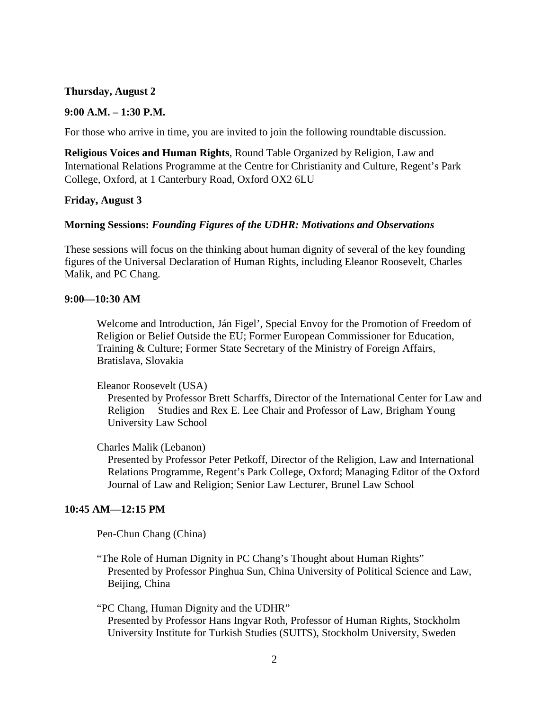### **Thursday, August 2**

#### **9:00 A.M. – 1:30 P.M.**

For those who arrive in time, you are invited to join the following roundtable discussion.

**Religious Voices and Human Rights**, Round Table Organized by Religion, Law and International Relations Programme at the Centre for Christianity and Culture, Regent's Park College, Oxford, at 1 Canterbury Road, Oxford OX2 6LU

#### **Friday, August 3**

#### **Morning Sessions:** *Founding Figures of the UDHR: Motivations and Observations*

These sessions will focus on the thinking about human dignity of several of the key founding figures of the Universal Declaration of Human Rights, including Eleanor Roosevelt, Charles Malik, and PC Chang.

#### **9:00—10:30 AM**

Welcome and Introduction, Ján Figel', Special Envoy for the Promotion of Freedom of Religion or Belief Outside the EU; Former European Commissioner for Education, Training & Culture; Former State Secretary of the Ministry of Foreign Affairs, Bratislava, Slovakia

#### Eleanor Roosevelt (USA)

Presented by Professor Brett Scharffs, Director of the International Center for Law and Religion Studies and Rex E. Lee Chair and Professor of Law, Brigham Young University Law School

#### Charles Malik (Lebanon)

Presented by Professor Peter Petkoff, Director of the Religion, Law and International Relations Programme, Regent's Park College, Oxford; Managing Editor of the Oxford Journal of Law and Religion; Senior Law Lecturer, Brunel Law School

#### **10:45 AM—12:15 PM**

Pen-Chun Chang (China)

"The Role of Human Dignity in PC Chang's Thought about Human Rights" Presented by Professor Pinghua Sun, China University of Political Science and Law, Beijing, China

"PC Chang, Human Dignity and the UDHR" Presented by Professor Hans Ingvar Roth, Professor of Human Rights, Stockholm University Institute for Turkish Studies (SUITS), Stockholm University, Sweden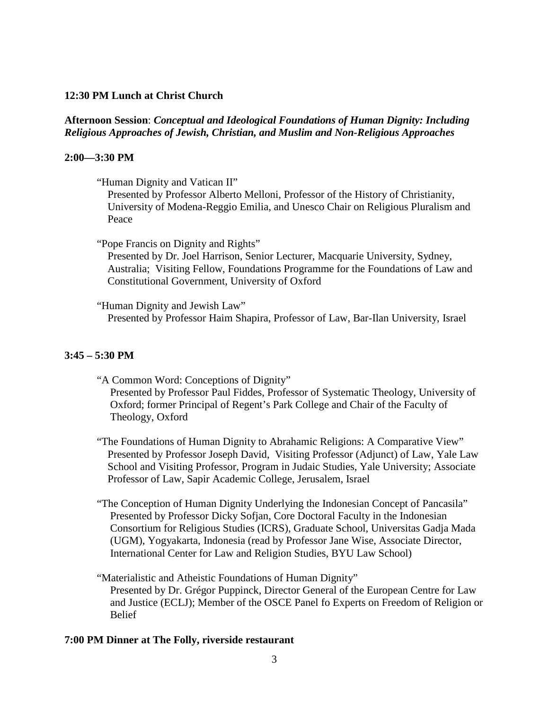# **12:30 PM Lunch at Christ Church**

# **Afternoon Session**: *Conceptual and Ideological Foundations of Human Dignity: Including Religious Approaches of Jewish, Christian, and Muslim and Non-Religious Approaches*

## **2:00—3:30 PM**

"Human Dignity and Vatican II"

Presented by Professor Alberto Melloni, Professor of the History of Christianity, University of Modena-Reggio Emilia, and Unesco Chair on Religious Pluralism and Peace

"Pope Francis on Dignity and Rights"

Presented by Dr. Joel Harrison, Senior Lecturer, Macquarie University, Sydney, Australia; Visiting Fellow, Foundations Programme for the Foundations of Law and Constitutional Government, University of Oxford

"Human Dignity and Jewish Law" Presented by Professor Haim Shapira, Professor of Law, Bar-Ilan University, Israel

# **3:45 – 5:30 PM**

"A Common Word: Conceptions of Dignity" Presented by Professor Paul Fiddes, Professor of Systematic Theology, University of Oxford; former Principal of Regent's Park College and Chair of the Faculty of Theology, Oxford

"The Foundations of Human Dignity to Abrahamic Religions: A Comparative View" Presented by Professor Joseph David, Visiting Professor (Adjunct) of Law, Yale Law School and Visiting Professor, Program in Judaic Studies, Yale University; Associate Professor of Law, Sapir Academic College, Jerusalem, Israel

"The Conception of Human Dignity Underlying the Indonesian Concept of Pancasila" Presented by Professor Dicky Sofjan, Core Doctoral Faculty in the Indonesian Consortium for Religious Studies (ICRS), Graduate School, Universitas Gadja Mada (UGM), Yogyakarta, Indonesia (read by Professor Jane Wise, Associate Director, International Center for Law and Religion Studies, BYU Law School)

"Materialistic and Atheistic Foundations of Human Dignity" Presented by Dr. Grégor Puppinck, Director General of the European Centre for Law and Justice (ECLJ); Member of the OSCE Panel fo Experts on Freedom of Religion or Belief

# **7:00 PM Dinner at The Folly, riverside restaurant**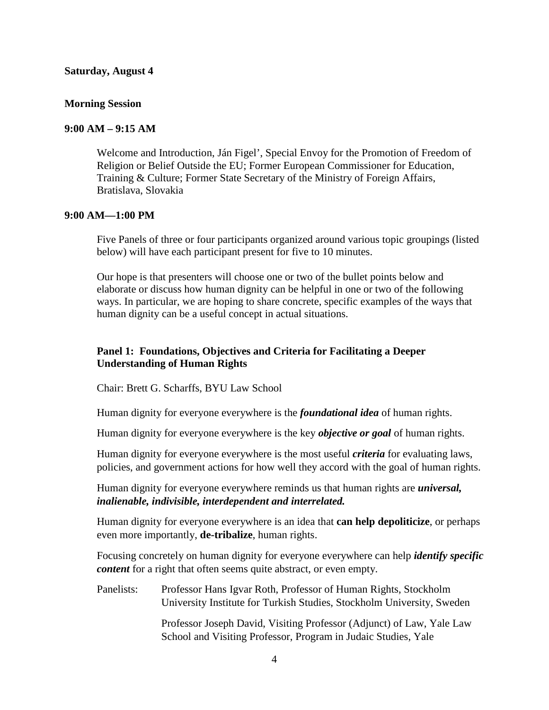#### **Saturday, August 4**

### **Morning Session**

#### **9:00 AM – 9:15 AM**

Welcome and Introduction, Ján Figel', Special Envoy for the Promotion of Freedom of Religion or Belief Outside the EU; Former European Commissioner for Education, Training & Culture; Former State Secretary of the Ministry of Foreign Affairs, Bratislava, Slovakia

### **9:00 AM—1:00 PM**

Five Panels of three or four participants organized around various topic groupings (listed below) will have each participant present for five to 10 minutes.

Our hope is that presenters will choose one or two of the bullet points below and elaborate or discuss how human dignity can be helpful in one or two of the following ways. In particular, we are hoping to share concrete, specific examples of the ways that human dignity can be a useful concept in actual situations.

# **Panel 1: Foundations, Objectives and Criteria for Facilitating a Deeper Understanding of Human Rights**

Chair: Brett G. Scharffs, BYU Law School

Human dignity for everyone everywhere is the *foundational idea* of human rights.

Human dignity for everyone everywhere is the key *objective or goal* of human rights.

Human dignity for everyone everywhere is the most useful *criteria* for evaluating laws, policies, and government actions for how well they accord with the goal of human rights.

Human dignity for everyone everywhere reminds us that human rights are *universal, inalienable, indivisible, interdependent and interrelated.* 

Human dignity for everyone everywhere is an idea that **can help depoliticize**, or perhaps even more importantly, **de-tribalize**, human rights.

Focusing concretely on human dignity for everyone everywhere can help *identify specific content* for a right that often seems quite abstract, or even empty.

Panelists: Professor Hans Igvar Roth, Professor of Human Rights, Stockholm University Institute for Turkish Studies, Stockholm University, Sweden

> Professor Joseph David, Visiting Professor (Adjunct) of Law, Yale Law School and Visiting Professor, Program in Judaic Studies, Yale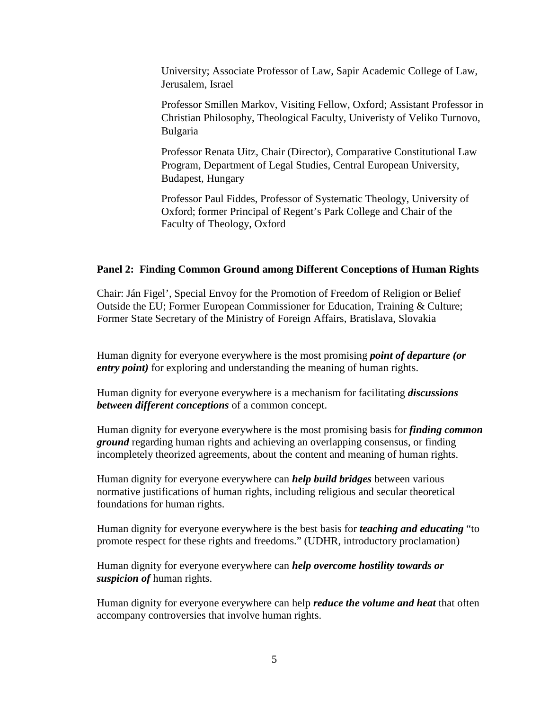University; Associate Professor of Law, Sapir Academic College of Law, Jerusalem, Israel

Professor Smillen Markov, Visiting Fellow, Oxford; Assistant Professor in Christian Philosophy, Theological Faculty, Univeristy of Veliko Turnovo, Bulgaria

Professor Renata Uitz, Chair (Director), Comparative Constitutional Law Program, Department of Legal Studies, Central European University, Budapest, Hungary

Professor Paul Fiddes, Professor of Systematic Theology, University of Oxford; former Principal of Regent's Park College and Chair of the Faculty of Theology, Oxford

#### **Panel 2: Finding Common Ground among Different Conceptions of Human Rights**

Chair: Ján Figel', Special Envoy for the Promotion of Freedom of Religion or Belief Outside the EU; Former European Commissioner for Education, Training & Culture; Former State Secretary of the Ministry of Foreign Affairs, Bratislava, Slovakia

Human dignity for everyone everywhere is the most promising *point of departure (or entry point)* for exploring and understanding the meaning of human rights.

Human dignity for everyone everywhere is a mechanism for facilitating *discussions between different conceptions* of a common concept.

Human dignity for everyone everywhere is the most promising basis for *finding common ground* regarding human rights and achieving an overlapping consensus, or finding incompletely theorized agreements, about the content and meaning of human rights.

Human dignity for everyone everywhere can *help build bridges* between various normative justifications of human rights, including religious and secular theoretical foundations for human rights.

Human dignity for everyone everywhere is the best basis for *teaching and educating* "to promote respect for these rights and freedoms." (UDHR, introductory proclamation)

Human dignity for everyone everywhere can *help overcome hostility towards or suspicion of* human rights.

Human dignity for everyone everywhere can help *reduce the volume and heat* that often accompany controversies that involve human rights.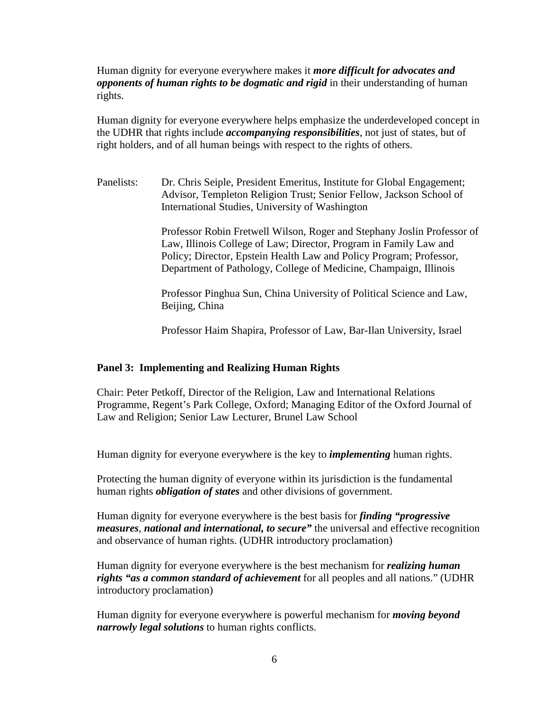Human dignity for everyone everywhere makes it *more difficult for advocates and opponents of human rights to be dogmatic and rigid* in their understanding of human rights.

Human dignity for everyone everywhere helps emphasize the underdeveloped concept in the UDHR that rights include *accompanying responsibilities*, not just of states, but of right holders, and of all human beings with respect to the rights of others.

Panelists: Dr. Chris Seiple, President Emeritus, Institute for Global Engagement; Advisor, Templeton Religion Trust; Senior Fellow, Jackson School of International Studies, University of Washington

> Professor Robin Fretwell Wilson, Roger and Stephany Joslin Professor of Law, Illinois College of Law; Director, Program in Family Law and Policy; Director, Epstein Health Law and Policy Program; Professor, Department of Pathology, College of Medicine, Champaign, Illinois

Professor Pinghua Sun, China University of Political Science and Law, Beijing, China

Professor Haim Shapira, Professor of Law, Bar-Ilan University, Israel

#### **Panel 3: Implementing and Realizing Human Rights**

Chair: Peter Petkoff, Director of the Religion, Law and International Relations Programme, Regent's Park College, Oxford; Managing Editor of the Oxford Journal of Law and Religion; Senior Law Lecturer, Brunel Law School

Human dignity for everyone everywhere is the key to *implementing* human rights.

Protecting the human dignity of everyone within its jurisdiction is the fundamental human rights *obligation of states* and other divisions of government.

Human dignity for everyone everywhere is the best basis for *finding "progressive measures*, *national and international, to secure"* the universal and effective recognition and observance of human rights. (UDHR introductory proclamation)

Human dignity for everyone everywhere is the best mechanism for *realizing human rights "as a common standard of achievement* for all peoples and all nations." (UDHR introductory proclamation)

Human dignity for everyone everywhere is powerful mechanism for *moving beyond narrowly legal solutions* to human rights conflicts.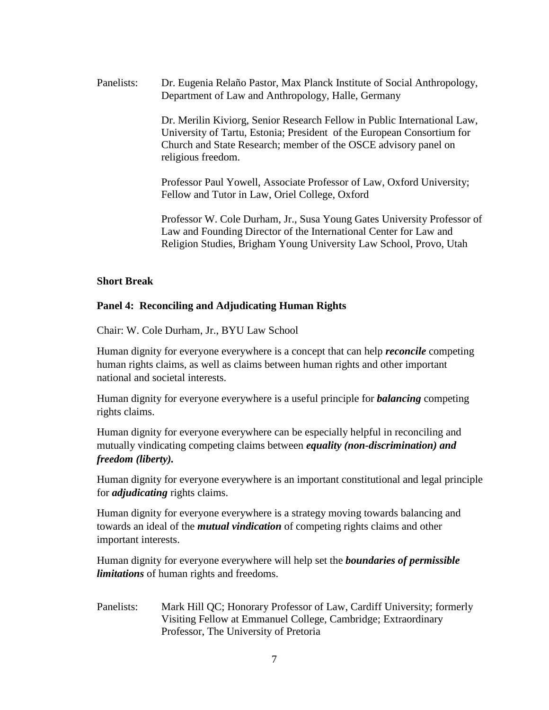Panelists: Dr. Eugenia Relaño Pastor, Max Planck Institute of Social Anthropology, Department of Law and Anthropology, Halle, Germany

> Dr. Merilin Kiviorg, Senior Research Fellow in Public International Law, University of Tartu, Estonia; President of the European Consortium for Church and State Research; member of the OSCE advisory panel on religious freedom.

Professor Paul Yowell, Associate Professor of Law, Oxford University; Fellow and Tutor in Law, Oriel College, Oxford

Professor W. Cole Durham, Jr., Susa Young Gates University Professor of Law and Founding Director of the International Center for Law and Religion Studies, Brigham Young University Law School, Provo, Utah

### **Short Break**

# **Panel 4: Reconciling and Adjudicating Human Rights**

Chair: W. Cole Durham, Jr., BYU Law School

Human dignity for everyone everywhere is a concept that can help *reconcile* competing human rights claims, as well as claims between human rights and other important national and societal interests.

Human dignity for everyone everywhere is a useful principle for *balancing* competing rights claims.

Human dignity for everyone everywhere can be especially helpful in reconciling and mutually vindicating competing claims between *equality (non-discrimination) and freedom (liberty).*

Human dignity for everyone everywhere is an important constitutional and legal principle for *adjudicating* rights claims.

Human dignity for everyone everywhere is a strategy moving towards balancing and towards an ideal of the *mutual vindication* of competing rights claims and other important interests.

Human dignity for everyone everywhere will help set the *boundaries of permissible limitations* of human rights and freedoms.

Panelists: Mark Hill QC; Honorary Professor of Law, Cardiff University; formerly Visiting Fellow at Emmanuel College, Cambridge; Extraordinary Professor, The University of Pretoria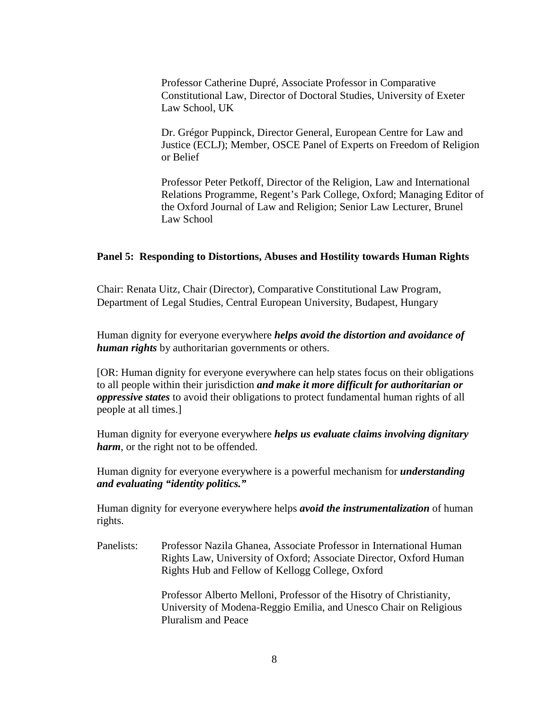Professor Catherine Dupré, Associate Professor in Comparative Constitutional Law, Director of Doctoral Studies, University of Exeter Law School, UK

Dr. Grégor Puppinck, Director General, European Centre for Law and Justice (ECLJ); Member, OSCE Panel of Experts on Freedom of Religion or Belief

Professor Peter Petkoff, Director of the Religion, Law and International Relations Programme, Regent's Park College, Oxford; Managing Editor of the Oxford Journal of Law and Religion; Senior Law Lecturer, Brunel Law School

#### **Panel 5: Responding to Distortions, Abuses and Hostility towards Human Rights**

Chair: Renata Uitz, Chair (Director), Comparative Constitutional Law Program, Department of Legal Studies, Central European University, Budapest, Hungary

Human dignity for everyone everywhere *helps avoid the distortion and avoidance of human rights* by authoritarian governments or others.

[OR: Human dignity for everyone everywhere can help states focus on their obligations to all people within their jurisdiction *and make it more difficult for authoritarian or oppressive states* to avoid their obligations to protect fundamental human rights of all people at all times.]

Human dignity for everyone everywhere *helps us evaluate claims involving dignitary harm*, or the right not to be offended.

Human dignity for everyone everywhere is a powerful mechanism for *understanding and evaluating "identity politics."*

Human dignity for everyone everywhere helps *avoid the instrumentalization* of human rights.

Panelists: Professor Nazila Ghanea, Associate Professor in International Human Rights Law, University of Oxford; Associate Director, Oxford Human Rights Hub and Fellow of Kellogg College, Oxford

> Professor Alberto Melloni, Professor of the Hisotry of Christianity, University of Modena-Reggio Emilia, and Unesco Chair on Religious Pluralism and Peace